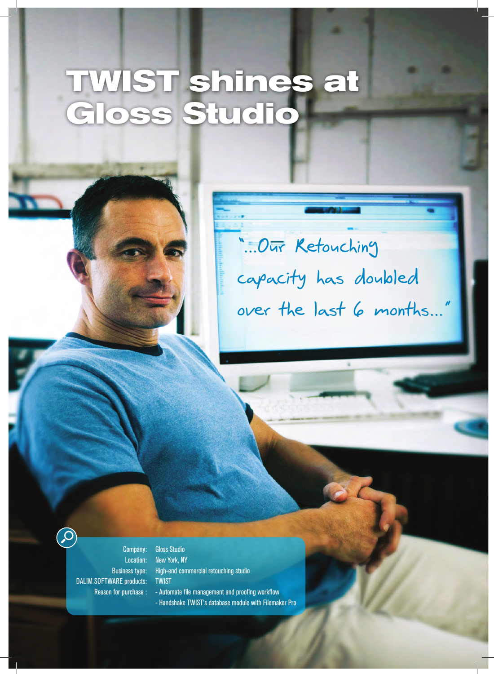## **TWIST shines at Gloss Studio**

## **h/UR 2ETOUCHING»**  $capacity$  has doubled **OVER THE LAST MONTHSi**

Company: Location: Business type: DALIM SOFTWARE products: Reason for purchase :

Creative Professionals

Gloss Studio New York, NY High-end commercial retouching studio TWIST

- Automate file management and proofing workflow
- Handshake TWIST's database module with Filemaker Pro